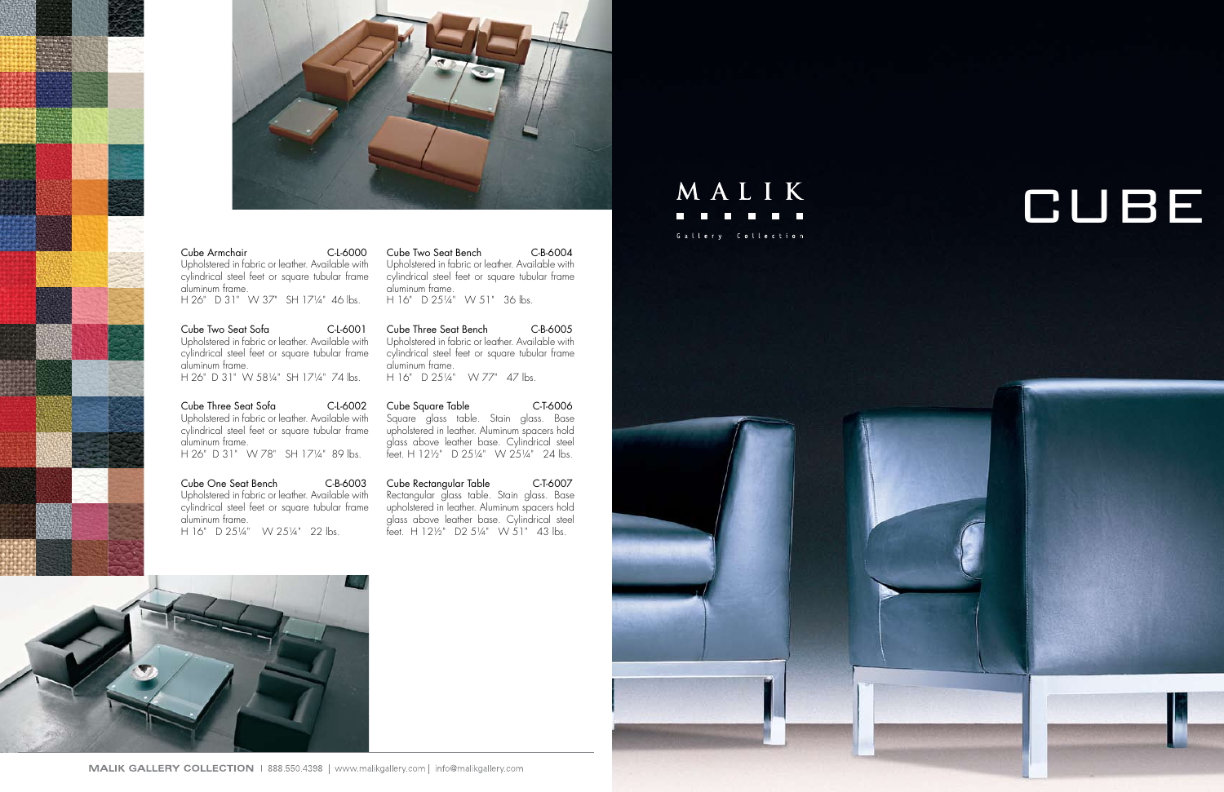



## Cube Armchair C-L-6000

Upholstered in fabric or leather. Available with cylindrical steel feet or square tubular frame aluminum frame.

H 26" D 31" W 37" SH 17¼" 46 lbs.

Cube Two Seat Sofa C-L-6001 Upholstered in fabric or leather. Available with cylindrical steel feet or square tubular frame aluminum frame. H 26" D 31" W 58¼" SH 17¼" 74 lbs.

Cube One Seat Bench C-B-6003 Upholstered in fabric or leather. Available with cylindrical steel feet or square tubular frame aluminum frame. H 16" D 251/4" W 251/4" 22 lbs.

Cube Two Seat Bench C-B-6004 Upholstered in fabric or leather. Available with cylindrical steel feet or square tubular frame aluminum frame. H 16" D 251/4" W 51" 36 lbs.

Cube Three Seat Bench C-B-6005 Upholstered in fabric or leather. Available with cylindrical steel feet or square tubular frame aluminum frame. H 16" D 251/4" W 77" 47 lbs.

Cube Three Seat Sofa C-L-6002 Upholstered in fabric or leather. Available with cylindrical steel feet or square tubular frame aluminum frame. H 26" D 31" W 78" SH 17¼" 89 lbs.

> Cube Rectangular Table C-T-6007 Rectangular glass table. Stain glass. Base upholstered in leather. Aluminum spacers hold glass above leather base. Cylindrical steel feet. H  $12\frac{1}{2}$  D2  $5\frac{1}{4}$  W  $51$ " 43 lbs.









Cube Square Table C-T-6006 Square glass table. Stain glass. Base upholstered in leather. Aluminum spacers hold glass above leather base. Cylindrical steel feet. H 12½" D 25¼" W 25¼" 24 lbs.